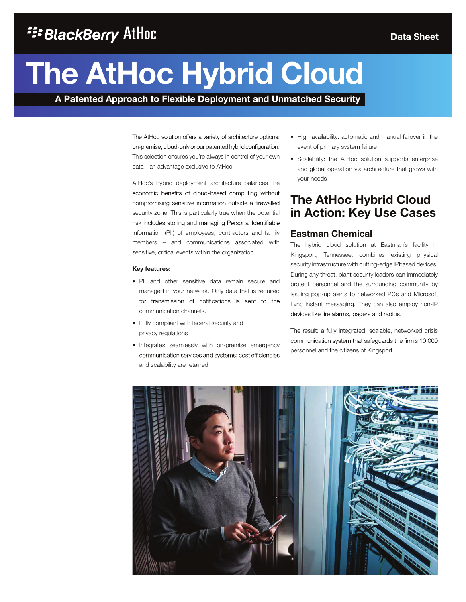# **The AtHoc Hybrid Cloud**

**A Patented Approach to Flexible Deployment and Unmatched Security**

The AtHoc solution offers a variety of architecture options: on-premise, cloud-only or our patented hybrid configuration. This selection ensures you're always in control of your own data – an advantage exclusive to AtHoc.

AtHoc's hybrid deployment architecture balances the economic benefits of cloud-based computing without compromising sensitive information outside a firewalled security zone. This is particularly true when the potential risk includes storing and managing Personal Identifiable Information (PII) of employees, contractors and family members – and communications associated with sensitive, critical events within the organization.

#### **Key features:**

- PII and other sensitive data remain secure and managed in your network. Only data that is required for transmission of notifications is sent to the communication channels.
- Fully compliant with federal security and privacy regulations
- Integrates seamlessly with on-premise emergency communication services and systems; cost efficiencies and scalability are retained
- High availability: automatic and manual failover in the event of primary system failure
- Scalability: the AtHoc solution supports enterprise and global operation via architecture that grows with your needs

### **The AtHoc Hybrid Cloud in Action: Key Use Cases**

### **Eastman Chemical**

The hybrid cloud solution at Eastman's facility in Kingsport, Tennessee, combines existing physical security infrastructure with cutting-edge IPbased devices. During any threat, plant security leaders can immediately protect personnel and the surrounding community by issuing pop-up alerts to networked PCs and Microsoft Lync instant messaging. They can also employ non-IP devices like fire alarms, pagers and radios.

The result: a fully integrated, scalable, networked crisis communication system that safeguards the firm's 10,000 personnel and the citizens of Kingsport.